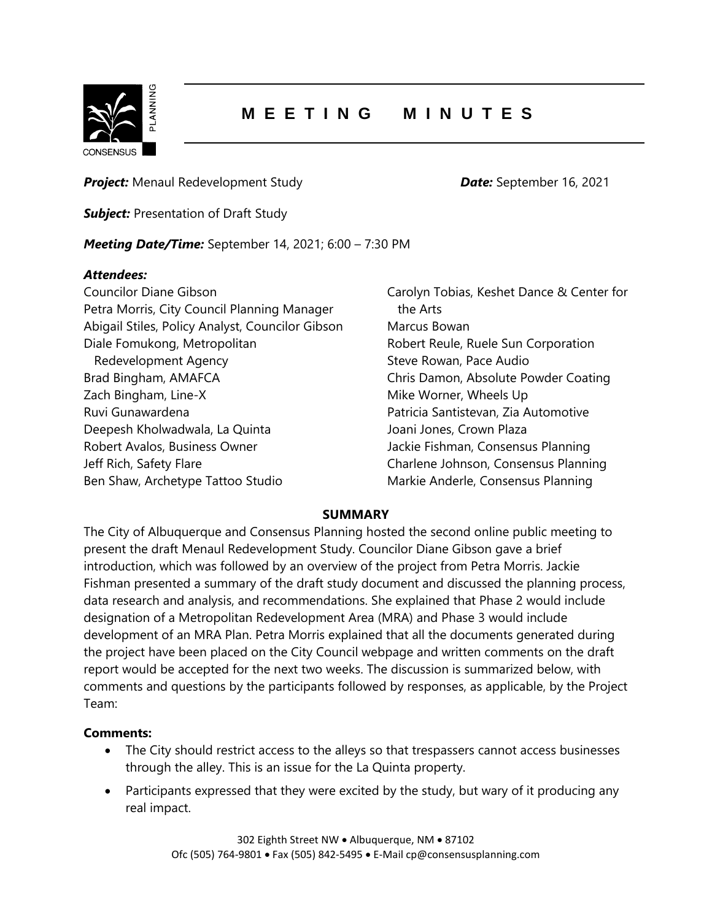

## **M E E T I N G M I N U T E S**

**Project:** Menaul Redevelopment Study **Date:** September 16, 2021

**Subject:** Presentation of Draft Study

*Meeting Date/Time:* September 14, 2021; 6:00 – 7:30 PM

## *Attendees:*

Councilor Diane Gibson Petra Morris, City Council Planning Manager Abigail Stiles, Policy Analyst, Councilor Gibson Diale Fomukong, Metropolitan Redevelopment Agency Brad Bingham, AMAFCA Zach Bingham, Line-X Ruvi Gunawardena Deepesh Kholwadwala, La Quinta Robert Avalos, Business Owner Jeff Rich, Safety Flare Ben Shaw, Archetype Tattoo Studio

Carolyn Tobias, Keshet Dance & Center for the Arts Marcus Bowan Robert Reule, Ruele Sun Corporation Steve Rowan, Pace Audio Chris Damon, Absolute Powder Coating Mike Worner, Wheels Up Patricia Santistevan, Zia Automotive Joani Jones, Crown Plaza Jackie Fishman, Consensus Planning Charlene Johnson, Consensus Planning Markie Anderle, Consensus Planning

## **SUMMARY**

The City of Albuquerque and Consensus Planning hosted the second online public meeting to present the draft Menaul Redevelopment Study. Councilor Diane Gibson gave a brief introduction, which was followed by an overview of the project from Petra Morris. Jackie Fishman presented a summary of the draft study document and discussed the planning process, data research and analysis, and recommendations. She explained that Phase 2 would include designation of a Metropolitan Redevelopment Area (MRA) and Phase 3 would include development of an MRA Plan. Petra Morris explained that all the documents generated during the project have been placed on the City Council webpage and written comments on the draft report would be accepted for the next two weeks. The discussion is summarized below, with comments and questions by the participants followed by responses, as applicable, by the Project Team:

## **Comments:**

- The City should restrict access to the alleys so that trespassers cannot access businesses through the alley. This is an issue for the La Quinta property.
- Participants expressed that they were excited by the study, but wary of it producing any real impact.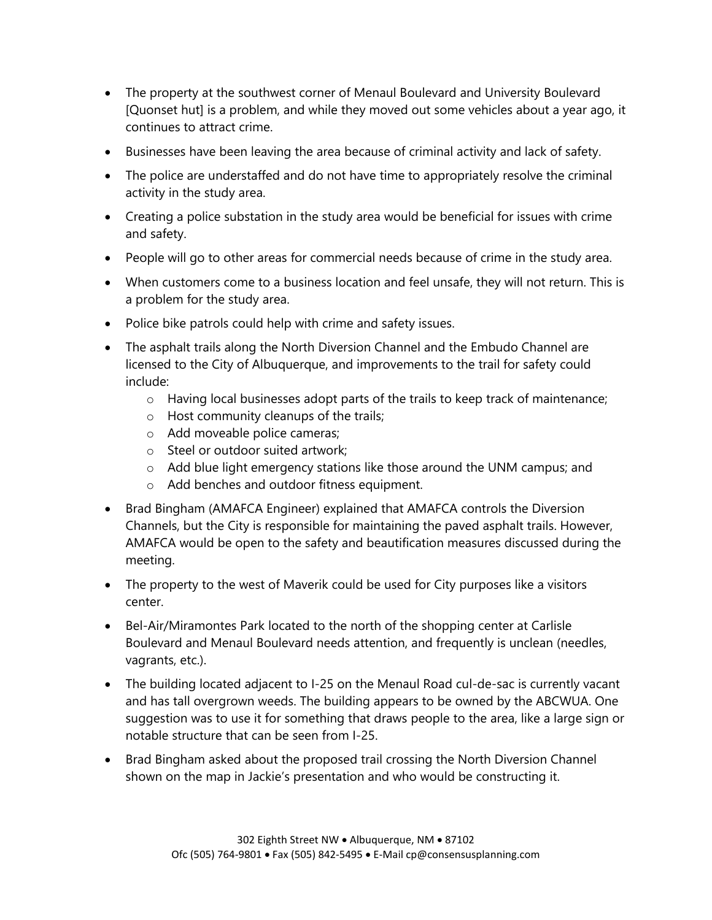- The property at the southwest corner of Menaul Boulevard and University Boulevard [Quonset hut] is a problem, and while they moved out some vehicles about a year ago, it continues to attract crime.
- Businesses have been leaving the area because of criminal activity and lack of safety.
- The police are understaffed and do not have time to appropriately resolve the criminal activity in the study area.
- Creating a police substation in the study area would be beneficial for issues with crime and safety.
- People will go to other areas for commercial needs because of crime in the study area.
- When customers come to a business location and feel unsafe, they will not return. This is a problem for the study area.
- Police bike patrols could help with crime and safety issues.
- The asphalt trails along the North Diversion Channel and the Embudo Channel are licensed to the City of Albuquerque, and improvements to the trail for safety could include:
	- o Having local businesses adopt parts of the trails to keep track of maintenance;
	- o Host community cleanups of the trails;
	- o Add moveable police cameras;
	- o Steel or outdoor suited artwork;
	- o Add blue light emergency stations like those around the UNM campus; and
	- o Add benches and outdoor fitness equipment.
- Brad Bingham (AMAFCA Engineer) explained that AMAFCA controls the Diversion Channels, but the City is responsible for maintaining the paved asphalt trails. However, AMAFCA would be open to the safety and beautification measures discussed during the meeting.
- The property to the west of Maverik could be used for City purposes like a visitors center.
- Bel-Air/Miramontes Park located to the north of the shopping center at Carlisle Boulevard and Menaul Boulevard needs attention, and frequently is unclean (needles, vagrants, etc.).
- The building located adjacent to I-25 on the Menaul Road cul-de-sac is currently vacant and has tall overgrown weeds. The building appears to be owned by the ABCWUA. One suggestion was to use it for something that draws people to the area, like a large sign or notable structure that can be seen from I-25.
- Brad Bingham asked about the proposed trail crossing the North Diversion Channel shown on the map in Jackie's presentation and who would be constructing it.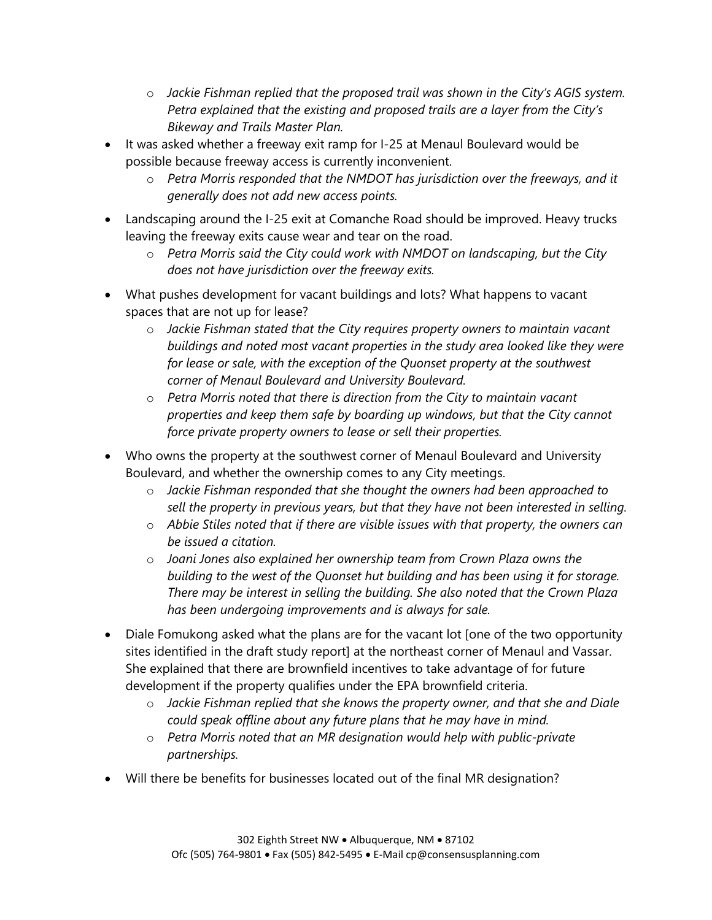- o *Jackie Fishman replied that the proposed trail was shown in the City's AGIS system. Petra explained that the existing and proposed trails are a layer from the City's Bikeway and Trails Master Plan.*
- It was asked whether a freeway exit ramp for I-25 at Menaul Boulevard would be possible because freeway access is currently inconvenient.
	- o *Petra Morris responded that the NMDOT has jurisdiction over the freeways, and it generally does not add new access points.*
- Landscaping around the I-25 exit at Comanche Road should be improved. Heavy trucks leaving the freeway exits cause wear and tear on the road.
	- o *Petra Morris said the City could work with NMDOT on landscaping, but the City does not have jurisdiction over the freeway exits.*
- What pushes development for vacant buildings and lots? What happens to vacant spaces that are not up for lease?
	- o *Jackie Fishman stated that the City requires property owners to maintain vacant buildings and noted most vacant properties in the study area looked like they were for lease or sale, with the exception of the Quonset property at the southwest corner of Menaul Boulevard and University Boulevard.*
	- o *Petra Morris noted that there is direction from the City to maintain vacant properties and keep them safe by boarding up windows, but that the City cannot force private property owners to lease or sell their properties.*
- Who owns the property at the southwest corner of Menaul Boulevard and University Boulevard, and whether the ownership comes to any City meetings.
	- o *Jackie Fishman responded that she thought the owners had been approached to sell the property in previous years, but that they have not been interested in selling.*
	- o *Abbie Stiles noted that if there are visible issues with that property, the owners can be issued a citation.*
	- o *Joani Jones also explained her ownership team from Crown Plaza owns the building to the west of the Quonset hut building and has been using it for storage. There may be interest in selling the building. She also noted that the Crown Plaza has been undergoing improvements and is always for sale.*
- Diale Fomukong asked what the plans are for the vacant lot [one of the two opportunity sites identified in the draft study report] at the northeast corner of Menaul and Vassar. She explained that there are brownfield incentives to take advantage of for future development if the property qualifies under the EPA brownfield criteria.
	- o *Jackie Fishman replied that she knows the property owner, and that she and Diale could speak offline about any future plans that he may have in mind.*
	- o *Petra Morris noted that an MR designation would help with public-private partnerships.*
- Will there be benefits for businesses located out of the final MR designation?